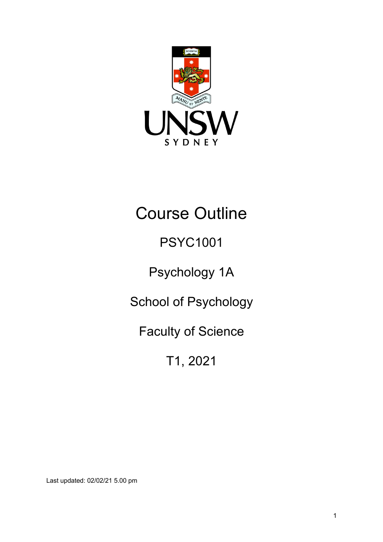

# Course Outline

# PSYC1001

Psychology 1A

School of Psychology

Faculty of Science

T1, 2021

Last updated: 02/02/21 5.00 pm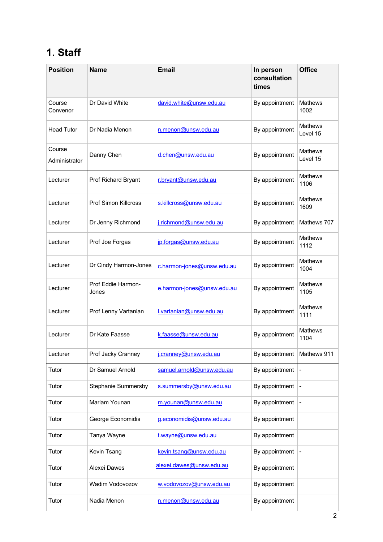# **1. Staff**

| <b>Position</b>         | <b>Name</b>                 | <b>Email</b>               | In person<br>consultation<br>times | <b>Office</b>          |
|-------------------------|-----------------------------|----------------------------|------------------------------------|------------------------|
| Course<br>Convenor      | Dr David White              | david.white@unsw.edu.au    | By appointment                     | <b>Mathews</b><br>1002 |
| <b>Head Tutor</b>       | Dr Nadia Menon              | n.menon@unsw.edu.au        | By appointment                     | Mathews<br>Level 15    |
| Course<br>Administrator | Danny Chen                  | d.chen@unsw.edu.au         | By appointment                     | Mathews<br>Level 15    |
| Lecturer                | Prof Richard Bryant         | r.bryant@unsw.edu.au       | By appointment                     | Mathews<br>1106        |
| Lecturer                | Prof Simon Killcross        | s.killcross@unsw.edu.au    | By appointment                     | <b>Mathews</b><br>1609 |
| Lecturer                | Dr Jenny Richmond           | j.richmond@unsw.edu.au     | By appointment                     | Mathews 707            |
| Lecturer                | Prof Joe Forgas             | jp.forgas@unsw.edu.au      | By appointment                     | <b>Mathews</b><br>1112 |
| Lecturer                | Dr Cindy Harmon-Jones       | c.harmon-jones@unsw.edu.au | By appointment                     | <b>Mathews</b><br>1004 |
| Lecturer                | Prof Eddie Harmon-<br>Jones | e.harmon-jones@unsw.edu.au | By appointment                     | <b>Mathews</b><br>1105 |
| Lecturer                | Prof Lenny Vartanian        | l.vartanian@unsw.edu.au    | By appointment                     | Mathews<br>1111        |
| Lecturer                | Dr Kate Faasse              | k.faasse@unsw.edu.au       | By appointment                     | <b>Mathews</b><br>1104 |
| Lecturer                | Prof Jacky Cranney          | j.cranney@unsw.edu.au      | By appointment                     | Mathews 911            |
| Tutor                   | Dr Samuel Arnold            | samuel.arnold@unsw.edu.au  | By appointment                     |                        |
| Tutor                   | Stephanie Summersby         | s.summersby@unsw.edu.au    | By appointment                     |                        |
| Tutor                   | Mariam Younan               | m.younan@unsw.edu.au       | By appointment                     |                        |
| Tutor                   | George Economidis           | g.economidis@unsw.edu.au   | By appointment                     |                        |
| Tutor                   | Tanya Wayne                 | t.wayne@unsw.edu.au        | By appointment                     |                        |
| Tutor                   | Kevin Tsang                 | kevin.tsang@unsw.edu.au    | By appointment                     |                        |
| Tutor                   | Alexei Dawes                | alexei.dawes@unsw.edu.au   | By appointment                     |                        |
| Tutor                   | Wadim Vodovozov             | w.vodovozov@unsw.edu.au    | By appointment                     |                        |
| Tutor                   | Nadia Menon                 | n.menon@unsw.edu.au        | By appointment                     |                        |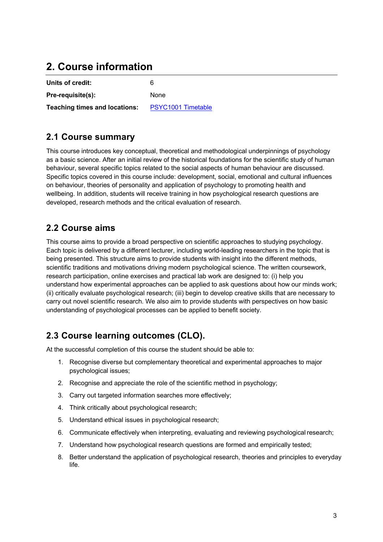# **2. Course information**

| Units of credit:              | ĥ                         |
|-------------------------------|---------------------------|
| Pre-requisite(s):             | <b>None</b>               |
| Teaching times and locations: | <b>PSYC1001 Timetable</b> |

### **2.1 Course summary**

This course introduces key conceptual, theoretical and methodological underpinnings of psychology as a basic science. After an initial review of the historical foundations for the scientific study of human behaviour, several specific topics related to the social aspects of human behaviour are discussed. Specific topics covered in this course include: development, social, emotional and cultural influences on behaviour, theories of personality and application of psychology to promoting health and wellbeing. In addition, students will receive training in how psychological research questions are developed, research methods and the critical evaluation of research.

### **2.2 Course aims**

This course aims to provide a broad perspective on scientific approaches to studying psychology. Each topic is delivered by a different lecturer, including world-leading researchers in the topic that is being presented. This structure aims to provide students with insight into the different methods, scientific traditions and motivations driving modern psychological science. The written coursework, research participation, online exercises and practical lab work are designed to: (i) help you understand how experimental approaches can be applied to ask questions about how our minds work; (ii) critically evaluate psychological research; (iii) begin to develop creative skills that are necessary to carry out novel scientific research. We also aim to provide students with perspectives on how basic understanding of psychological processes can be applied to benefit society.

### **2.3 Course learning outcomes (CLO).**

At the successful completion of this course the student should be able to:

- 1. Recognise diverse but complementary theoretical and experimental approaches to major psychological issues;
- 2. Recognise and appreciate the role of the scientific method in psychology;
- 3. Carry out targeted information searches more effectively;
- 4. Think critically about psychological research;
- 5. Understand ethical issues in psychological research;
- 6. Communicate effectively when interpreting, evaluating and reviewing psychological research;
- 7. Understand how psychological research questions are formed and empirically tested;
- 8. Better understand the application of psychological research, theories and principles to everyday life.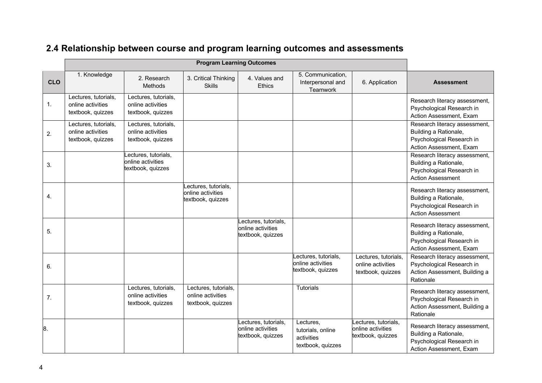|                |                                                                |                                                                | <b>Program Learning Outcomes</b>                               |                                                               |                                                                   |                                                                |                                                                                                                 |
|----------------|----------------------------------------------------------------|----------------------------------------------------------------|----------------------------------------------------------------|---------------------------------------------------------------|-------------------------------------------------------------------|----------------------------------------------------------------|-----------------------------------------------------------------------------------------------------------------|
| <b>CLO</b>     | 1. Knowledge                                                   | 2. Research<br>Methods                                         | 3. Critical Thinking<br><b>Skills</b>                          | 4. Values and<br><b>Ethics</b>                                | 5. Communication,<br>Interpersonal and<br>Teamwork                | 6. Application                                                 | <b>Assessment</b>                                                                                               |
| $\mathbf{1}$ . | Lectures, tutorials,<br>online activities<br>textbook, quizzes | Lectures, tutorials,<br>online activities<br>textbook, quizzes |                                                                |                                                               |                                                                   |                                                                | Research literacy assessment,<br>Psychological Research in<br>Action Assessment, Exam                           |
| 2.             | Lectures, tutorials,<br>online activities<br>textbook, quizzes | Lectures, tutorials,<br>online activities<br>textbook, quizzes |                                                                |                                                               |                                                                   |                                                                | Research literacy assessment,<br>Building a Rationale,<br>Psychological Research in<br>Action Assessment, Exam  |
| 3.             |                                                                | Lectures, tutorials,<br>online activities<br>textbook, quizzes |                                                                |                                                               |                                                                   |                                                                | Research literacy assessment,<br>Building a Rationale,<br>Psychological Research in<br><b>Action Assessment</b> |
| 4.             |                                                                |                                                                | ectures, tutorials,<br>online activities<br>textbook, quizzes  |                                                               |                                                                   |                                                                | Research literacy assessment,<br>Building a Rationale,<br>Psychological Research in<br><b>Action Assessment</b> |
| 5.             |                                                                |                                                                |                                                                | ectures, tutorials,<br>online activities<br>textbook, quizzes |                                                                   |                                                                | Research literacy assessment,<br>Building a Rationale,<br>Psychological Research in<br>Action Assessment, Exam  |
| 6.             |                                                                |                                                                |                                                                |                                                               | ectures, tutorials,<br>online activities<br>textbook, quizzes     | Lectures, tutorials,<br>online activities<br>textbook, quizzes | Research literacy assessment,<br>Psychological Research in<br>Action Assessment, Building a<br>Rationale        |
| 7.             |                                                                | Lectures, tutorials,<br>online activities<br>textbook, quizzes | Lectures, tutorials,<br>online activities<br>textbook, quizzes |                                                               | <b>Tutorials</b>                                                  |                                                                | Research literacy assessment,<br>Psychological Research in<br>Action Assessment, Building a<br>Rationale        |
| 8.             |                                                                |                                                                |                                                                | ectures, tutorials,<br>online activities<br>textbook, quizzes | Lectures,<br>tutorials, online<br>activities<br>textbook, quizzes | ectures, tutorials,<br>online activities<br>textbook, quizzes  | Research literacy assessment,<br>Building a Rationale,<br>Psychological Research in<br>Action Assessment, Exam  |

## **2.4 Relationship between course and program learning outcomes and assessments**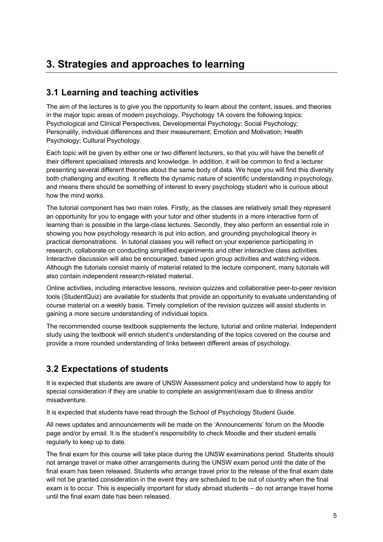# **3. Strategies and approaches to learning**

### **3.1 Learning and teaching activities**

The aim of the lectures is to give you the opportunity to learn about the content, issues, and theories in the major topic areas of modern psychology. Psychology 1A covers the following topics: Psychological and Clinical Perspectives; Developmental Psychology; Social Psychology; Personality, individual differences and their measurement; Emotion and Motivation; Health Psychology; Cultural Psychology.

Each topic will be given by either one or two different lecturers, so that you will have the benefit of their different specialised interests and knowledge. In addition, it will be common to find a lecturer presenting several different theories about the same body of data. We hope you will find this diversity both challenging and exciting. It reflects the dynamic nature of scientific understanding in psychology, and means there should be something of interest to every psychology student who is curious about how the mind works.

The tutorial component has two main roles. Firstly, as the classes are relatively small they represent an opportunity for you to engage with your tutor and other students in a more interactive form of learning than is possible in the large-class lectures. Secondly, they also perform an essential role in showing you how psychology research is put into action, and grounding psychological theory in practical demonstrations. In tutorial classes you will reflect on your experience participating in research, collaborate on conducting simplified experiments and other interactive class activities. Interactive discussion will also be encouraged, based upon group activities and watching videos. Although the tutorials consist mainly of material related to the lecture component, many tutorials will also contain independent research-related material.

Online activities, including interactive lessons, revision quizzes and collaborative peer-to-peer revision tools (StudentQuiz) are available for students that provide an opportunity to evaluate understanding of course material on a weekly basis. Timely completion of the revision quizzes will assist students in gaining a more secure understanding of individual topics.

The recommended course textbook supplements the lecture, tutorial and online material. Independent study using the textbook will enrich student's understanding of the topics covered on the course and provide a more rounded understanding of links between different areas of psychology.

### **3.2 Expectations of students**

It is expected that students are aware of UNSW Assessment policy and understand how to apply for special consideration if they are unable to complete an assignment/exam due to illness and/or misadventure.

It is expected that students have read through the School of Psychology Student Guide.

All news updates and announcements will be made on the 'Announcements' forum on the Moodle page and/or by email. It is the student's responsibility to check Moodle and their student emails regularly to keep up to date.

The final exam for this course will take place during the UNSW examinations period. Students should not arrange travel or make other arrangements during the UNSW exam period until the date of the final exam has been released. Students who arrange travel prior to the release of the final exam date will not be granted consideration in the event they are scheduled to be out of country when the final exam is to occur. This is especially important for study abroad students – do not arrange travel home until the final exam date has been released.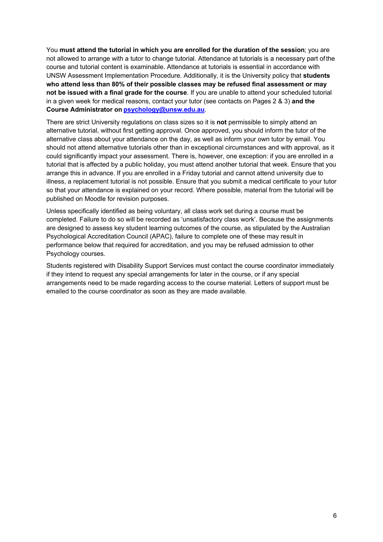You **must attend the tutorial in which you are enrolled for the duration of the session**; you are not allowed to arrange with a tutor to change tutorial. Attendance at tutorials is a necessary part ofthe course and tutorial content is examinable. Attendance at tutorials is essential in accordance with UNSW Assessment Implementation Procedure. Additionally, it is the University policy that **students who attend less than 80% of their possible classes may be refused final assessment or may not be issued with a final grade for the course**. If you are unable to attend your scheduled tutorial in a given week for medical reasons, contact your tutor (see contacts on Pages 2 & 3) **and the Course Administrator on psychology@unsw.edu.au**.

There are strict University regulations on class sizes so it is **not** permissible to simply attend an alternative tutorial, without first getting approval. Once approved, you should inform the tutor of the alternative class about your attendance on the day, as well as inform your own tutor by email. You should not attend alternative tutorials other than in exceptional circumstances and with approval, as it could significantly impact your assessment. There is, however, one exception: if you are enrolled in a tutorial that is affected by a public holiday, you must attend another tutorial that week. Ensure that you arrange this in advance. If you are enrolled in a Friday tutorial and cannot attend university due to illness, a replacement tutorial is not possible. Ensure that you submit a medical certificate to your tutor so that your attendance is explained on your record. Where possible, material from the tutorial will be published on Moodle for revision purposes.

Unless specifically identified as being voluntary, all class work set during a course must be completed. Failure to do so will be recorded as 'unsatisfactory class work'. Because the assignments are designed to assess key student learning outcomes of the course, as stipulated by the Australian Psychological Accreditation Council (APAC), failure to complete one of these may result in performance below that required for accreditation, and you may be refused admission to other Psychology courses.

Students registered with Disability Support Services must contact the course coordinator immediately if they intend to request any special arrangements for later in the course, or if any special arrangements need to be made regarding access to the course material. Letters of support must be emailed to the course coordinator as soon as they are made available.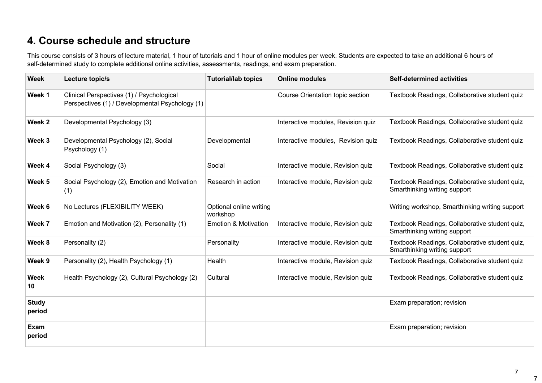# **4. Course schedule and structure**

This course consists of 3 hours of lecture material, 1 hour of tutorials and 1 hour of online modules per week. Students are expected to take an additional 6 hours of self-determined study to complete additional online activities, assessments, readings, and exam preparation.

| <b>Week</b>            | Lecture topic/s                                                                              | <b>Tutorial/lab topics</b>          | <b>Online modules</b>              | <b>Self-determined activities</b>                                              |
|------------------------|----------------------------------------------------------------------------------------------|-------------------------------------|------------------------------------|--------------------------------------------------------------------------------|
| Week 1                 | Clinical Perspectives (1) / Psychological<br>Perspectives (1) / Developmental Psychology (1) |                                     | Course Orientation topic section   | Textbook Readings, Collaborative student quiz                                  |
| Week 2                 | Developmental Psychology (3)                                                                 |                                     | Interactive modules, Revision quiz | Textbook Readings, Collaborative student quiz                                  |
| Week 3                 | Developmental Psychology (2), Social<br>Psychology (1)                                       | Developmental                       | Interactive modules, Revision quiz | Textbook Readings, Collaborative student quiz                                  |
| Week 4                 | Social Psychology (3)                                                                        | Social                              | Interactive module, Revision quiz  | Textbook Readings, Collaborative student quiz                                  |
| Week 5                 | Social Psychology (2), Emotion and Motivation<br>(1)                                         | Research in action                  | Interactive module, Revision quiz  | Textbook Readings, Collaborative student quiz,<br>Smarthinking writing support |
| Week 6                 | No Lectures (FLEXIBILITY WEEK)                                                               | Optional online writing<br>workshop |                                    | Writing workshop, Smarthinking writing support                                 |
| Week 7                 | Emotion and Motivation (2), Personality (1)                                                  | <b>Emotion &amp; Motivation</b>     | Interactive module, Revision quiz  | Textbook Readings, Collaborative student quiz,<br>Smarthinking writing support |
| Week 8                 | Personality (2)                                                                              | Personality                         | Interactive module, Revision quiz  | Textbook Readings, Collaborative student quiz,<br>Smarthinking writing support |
| Week 9                 | Personality (2), Health Psychology (1)                                                       | Health                              | Interactive module, Revision quiz  | Textbook Readings, Collaborative student quiz                                  |
| <b>Week</b><br>10      | Health Psychology (2), Cultural Psychology (2)                                               | Cultural                            | Interactive module, Revision quiz  | Textbook Readings, Collaborative student quiz                                  |
| <b>Study</b><br>period |                                                                                              |                                     |                                    | Exam preparation; revision                                                     |
| Exam<br>period         |                                                                                              |                                     |                                    | Exam preparation; revision                                                     |

7

7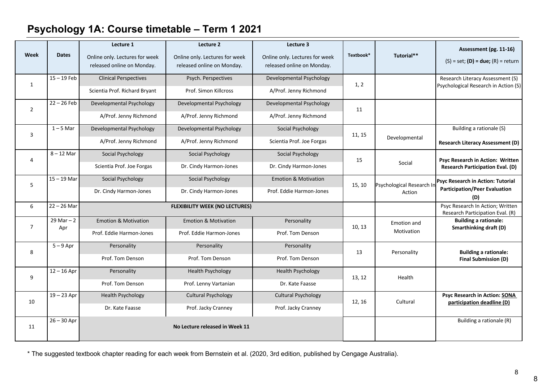# **Psychology 1A: Course timetable – Term 1 2021**

| Week           | <b>Dates</b>         | Lecture 1<br>Online only. Lectures for week<br>released online on Monday. | Lecture 2<br>Online only. Lectures for week<br>released online on Monday. | Lecture 3<br>Online only. Lectures for week<br>released online on Monday. | Textbook*                    | Tutorial**                | Assessment (pg. 11-16)<br>$(S) = set$ ; (D) = due; (R) = return          |
|----------------|----------------------|---------------------------------------------------------------------------|---------------------------------------------------------------------------|---------------------------------------------------------------------------|------------------------------|---------------------------|--------------------------------------------------------------------------|
| $\mathbf{1}$   | $15 - 19$ Feb        | <b>Clinical Perspectives</b>                                              | Psych. Perspectives                                                       | Developmental Psychology                                                  | 1, 2                         |                           | Research Literacy Assessment (S)<br>Psychological Research in Action (S) |
|                |                      | Scientia Prof. Richard Bryant                                             | Prof. Simon Killcross                                                     | A/Prof. Jenny Richmond                                                    |                              |                           |                                                                          |
| $\overline{2}$ | $22 - 26$ Feb        | Developmental Psychology                                                  | Developmental Psychology                                                  | Developmental Psychology                                                  | 11                           |                           |                                                                          |
|                |                      | A/Prof. Jenny Richmond                                                    | A/Prof. Jenny Richmond                                                    | A/Prof. Jenny Richmond                                                    |                              |                           |                                                                          |
| 3              | $1 - 5$ Mar          | Developmental Psychology                                                  | Developmental Psychology                                                  | Social Psychology                                                         | 11, 15                       |                           | Building a rationale (S)                                                 |
|                |                      | A/Prof. Jenny Richmond                                                    | A/Prof. Jenny Richmond                                                    | Scientia Prof. Joe Forgas                                                 |                              | Developmental             | <b>Research Literacy Assessment (D)</b>                                  |
| 4              | $8 - 12$ Mar         | Social Psychology                                                         | Social Psychology                                                         | Social Psychology                                                         | 15                           |                           | Psyc Research in Action: Written                                         |
|                |                      | Scientia Prof. Joe Forgas                                                 | Dr. Cindy Harmon-Jones                                                    | Dr. Cindy Harmon-Jones                                                    |                              | Social                    | <b>Research Participation Eval. (D)</b>                                  |
| 5              | $15 - 19$ Mar        | Social Psychology                                                         | Social Psychology                                                         | <b>Emotion &amp; Motivation</b>                                           | 15, 10                       | Psychological Research In | Psyc Research in Action: Tutorial                                        |
|                |                      | Dr. Cindy Harmon-Jones                                                    | Dr. Cindy Harmon-Jones                                                    | Prof. Eddie Harmon-Jones                                                  |                              | Action                    | <b>Participation/Peer Evaluation</b><br>(D)                              |
| 6              | $22 - 26$ Mar        | <b>FLEXIBILITY WEEK (NO LECTURES)</b>                                     |                                                                           |                                                                           |                              |                           | Psyc Research In Action; Written<br>Research Participation Eval. (R)     |
| $\overline{7}$ | $29$ Mar $-2$<br>Apr | <b>Emotion &amp; Motivation</b>                                           | <b>Emotion &amp; Motivation</b>                                           | Personality                                                               | <b>Emotion and</b><br>10, 13 |                           | <b>Building a rationale:</b><br>Smarthinking draft (D)                   |
|                |                      | Prof. Eddie Harmon-Jones                                                  | Prof. Eddie Harmon-Jones                                                  | Prof. Tom Denson                                                          |                              | Motivation                |                                                                          |
| 8              | $5 - 9$ Apr          | Personality                                                               | Personality                                                               | Personality                                                               | 13                           | Personality               | <b>Building a rationale:</b>                                             |
|                |                      | Prof. Tom Denson                                                          | Prof. Tom Denson                                                          | Prof. Tom Denson                                                          |                              |                           | Final Submission (D)                                                     |
| 9              | $12 - 16$ Apr        | Personality                                                               | <b>Health Psychology</b>                                                  | <b>Health Psychology</b>                                                  | 13, 12                       | Health                    |                                                                          |
|                |                      | Prof. Tom Denson                                                          | Prof. Lenny Vartanian                                                     | Dr. Kate Faasse                                                           |                              |                           |                                                                          |
| 10             | $19 - 23$ Apr        | <b>Health Psychology</b>                                                  | <b>Cultural Psychology</b>                                                | <b>Cultural Psychology</b>                                                | 12, 16                       | Cultural                  | <b>Psyc Research in Action: SONA</b><br>participation deadline (D)       |
|                |                      | Dr. Kate Faasse                                                           | Prof. Jacky Cranney                                                       | Prof. Jacky Cranney                                                       |                              |                           |                                                                          |
| 11             | $26 - 30$ Apr        |                                                                           | No Lecture released in Week 11                                            |                                                                           |                              |                           | Building a rationale (R)                                                 |

\* The suggested textbook chapter reading for each week from Bernstein et al. (2020, 3rd edition, published by Cengage Australia).

8

8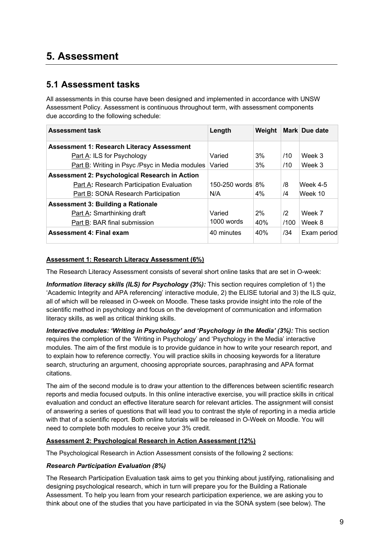# **5. Assessment**

### **5.1 Assessment tasks**

All assessments in this course have been designed and implemented in accordance with UNSW Assessment Policy. Assessment is continuous throughout term, with assessment components due according to the following schedule:

| <b>Assessment task</b>                                | Length              | Weight |               | Mark Due date |
|-------------------------------------------------------|---------------------|--------|---------------|---------------|
| <b>Assessment 1: Research Literacy Assessment</b>     |                     |        |               |               |
| Part A: ILS for Psychology                            | Varied              | 3%     | /10           | Week 3        |
| <b>Part B: Writing in Psyc /Psyc in Media modules</b> | Varied              | 3%     | /10           | Week 3        |
| <b>Assessment 2: Psychological Research in Action</b> |                     |        |               |               |
| <b>Part A: Research Participation Evaluation</b>      | 150-250 words $8\%$ |        | /8            | Week 4-5      |
| Part B: SONA Research Participation                   | N/A                 | 4%     | /4            | Week 10       |
| <b>Assessment 3: Building a Rationale</b>             |                     |        |               |               |
| Part A: Smarthinking draft                            | Varied              | 2%     | $\mathbf{12}$ | Week 7        |
| Part B: BAR final submission                          | 1000 words          | 40%    | /100          | Week 8        |
| <b>Assessment 4: Final exam</b>                       | 40 minutes          | 40%    | /34           | Exam period   |

#### **Assessment 1: Research Literacy Assessment (6%)**

The Research Literacy Assessment consists of several short online tasks that are set in O-week:

*Information literacy skills (ILS) for Psychology (3%):* This section requires completion of 1) the 'Academic Integrity and APA referencing' interactive module, 2) the ELISE tutorial and 3) the ILS quiz, all of which will be released in O-week on Moodle. These tasks provide insight into the role of the scientific method in psychology and focus on the development of communication and information literacy skills, as well as critical thinking skills.

*Interactive modules: 'Writing in Psychology' and 'Psychology in the Media' (3%):* This section requires the completion of the 'Writing in Psychology' and 'Psychology in the Media' interactive modules. The aim of the first module is to provide guidance in how to write your research report, and to explain how to reference correctly. You will practice skills in choosing keywords for a literature search, structuring an argument, choosing appropriate sources, paraphrasing and APA format citations.

The aim of the second module is to draw your attention to the differences between scientific research reports and media focused outputs. In this online interactive exercise, you will practice skills in critical evaluation and conduct an effective literature search for relevant articles. The assignment will consist of answering a series of questions that will lead you to contrast the style of reporting in a media article with that of a scientific report. Both online tutorials will be released in O-Week on Moodle. You will need to complete both modules to receive your 3% credit.

#### **Assessment 2: Psychological Research in Action Assessment (12%)**

The Psychological Research in Action Assessment consists of the following 2 sections:

#### *Research Participation Evaluation (8%)*

The Research Participation Evaluation task aims to get you thinking about justifying, rationalising and designing psychological research, which in turn will prepare you for the Building a Rationale Assessment. To help you learn from your research participation experience, we are asking you to think about one of the studies that you have participated in via the SONA system (see below). The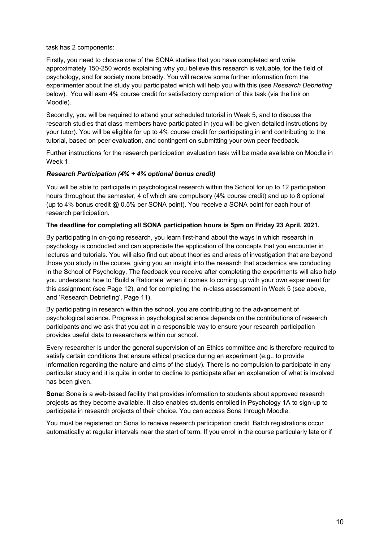task has 2 components:

Firstly, you need to choose one of the SONA studies that you have completed and write approximately 150-250 words explaining why you believe this research is valuable, for the field of psychology, and for society more broadly. You will receive some further information from the experimenter about the study you participated which will help you with this (see *Research Debriefing* below). You will earn 4% course credit for satisfactory completion of this task (via the link on Moodle).

Secondly, you will be required to attend your scheduled tutorial in Week 5, and to discuss the research studies that class members have participated in (you will be given detailed instructions by your tutor). You will be eligible for up to 4% course credit for participating in and contributing to the tutorial, based on peer evaluation, and contingent on submitting your own peer feedback.

Further instructions for the research participation evaluation task will be made available on Moodle in Week 1

#### *Research Participation (4% + 4% optional bonus credit)*

You will be able to participate in psychological research within the School for up to 12 participation hours throughout the semester, 4 of which are compulsory (4% course credit) and up to 8 optional (up to 4% bonus credit @ 0.5% per SONA point). You receive a SONA point for each hour of research participation.

#### **The deadline for completing all SONA participation hours is 5pm on Friday 23 April, 2021.**

By participating in on-going research, you learn first-hand about the ways in which research in psychology is conducted and can appreciate the application of the concepts that you encounter in lectures and tutorials. You will also find out about theories and areas of investigation that are beyond those you study in the course, giving you an insight into the research that academics are conducting in the School of Psychology. The feedback you receive after completing the experiments will also help you understand how to 'Build a Rationale' when it comes to coming up with your own experiment for this assignment (see Page 12), and for completing the in-class assessment in Week 5 (see above, and 'Research Debriefing', Page 11).

By participating in research within the school, you are contributing to the advancement of psychological science. Progress in psychological science depends on the contributions of research participants and we ask that you act in a responsible way to ensure your research participation provides useful data to researchers within our school.

Every researcher is under the general supervision of an Ethics committee and is therefore required to satisfy certain conditions that ensure ethical practice during an experiment (e.g., to provide information regarding the nature and aims of the study). There is no compulsion to participate in any particular study and it is quite in order to decline to participate after an explanation of what is involved has been given.

**Sona:** Sona is a web-based facility that provides information to students about approved research projects as they become available. It also enables students enrolled in Psychology 1A to sign-up to participate in research projects of their choice. You can access Sona through Moodle.

You must be registered on Sona to receive research participation credit. Batch registrations occur automatically at regular intervals near the start of term. If you enrol in the course particularly late or if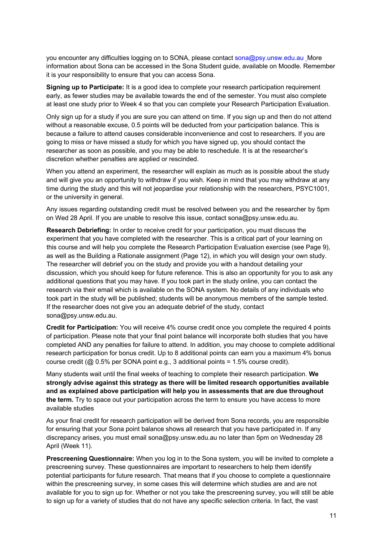you encounter any difficulties logging on to SONA, please contact sona@psy.unsw.edu.au More information about Sona can be accessed in the Sona Student guide, available on Moodle. Remember it is your responsibility to ensure that you can access Sona.

**Signing up to Participate:** It is a good idea to complete your research participation requirement early, as fewer studies may be available towards the end of the semester. You must also complete at least one study prior to Week 4 so that you can complete your Research Participation Evaluation.

Only sign up for a study if you are sure you can attend on time. If you sign up and then do not attend without a reasonable excuse, 0.5 points will be deducted from your participation balance. This is because a failure to attend causes considerable inconvenience and cost to researchers. If you are going to miss or have missed a study for which you have signed up, you should contact the researcher as soon as possible, and you may be able to reschedule. It is at the researcher's discretion whether penalties are applied or rescinded.

When you attend an experiment, the researcher will explain as much as is possible about the study and will give you an opportunity to withdraw if you wish. Keep in mind that you may withdraw at any time during the study and this will not jeopardise your relationship with the researchers, PSYC1001, or the university in general.

Any issues regarding outstanding credit must be resolved between you and the researcher by 5pm on Wed 28 April. If you are unable to resolve this issue, contact sona@psy.unsw.edu.au.

**Research Debriefing:** In order to receive credit for your participation, you must discuss the experiment that you have completed with the researcher. This is a critical part of your learning on this course and will help you complete the Research Participation Evaluation exercise (see Page 9), as well as the Building a Rationale assignment (Page 12), in which you will design your own study. The researcher will debrief you on the study and provide you with a handout detailing your discussion, which you should keep for future reference. This is also an opportunity for you to ask any additional questions that you may have. If you took part in the study online, you can contact the research via their email which is available on the SONA system. No details of any individuals who took part in the study will be published; students will be anonymous members of the sample tested. If the researcher does not give you an adequate debrief of the study, contact sona@psy.unsw.edu.au.

**Credit for Participation:** You will receive 4% course credit once you complete the required 4 points of participation. Please note that your final point balance will incorporate both studies that you have completed AND any penalties for failure to attend. In addition, you may choose to complete additional research participation for bonus credit. Up to 8 additional points can earn you a maximum 4% bonus course credit ( $@$  0.5% per SONA point e.g., 3 additional points = 1.5% course credit).

Many students wait until the final weeks of teaching to complete their research participation. **We strongly advise against this strategy as there will be limited research opportunities available and as explained above participation will help you in assessments that are due throughout the term.** Try to space out your participation across the term to ensure you have access to more available studies

As your final credit for research participation will be derived from Sona records, you are responsible for ensuring that your Sona point balance shows all research that you have participated in. If any discrepancy arises, you must email sona@psy.unsw.edu.au no later than 5pm on Wednesday 28 April (Week 11).

**Prescreening Questionnaire:** When you log in to the Sona system, you will be invited to complete a prescreening survey. These questionnaires are important to researchers to help them identify potential participants for future research. That means that if you choose to complete a questionnaire within the prescreening survey, in some cases this will determine which studies are and are not available for you to sign up for. Whether or not you take the prescreening survey, you will still be able to sign up for a variety of studies that do not have any specific selection criteria. In fact, the vast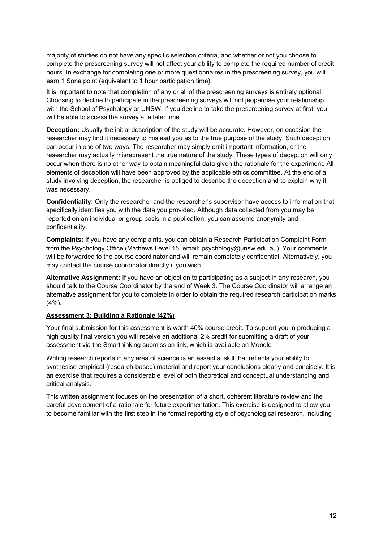majority of studies do not have any specific selection criteria, and whether or not you choose to complete the prescreening survey will not affect your ability to complete the required number of credit hours. In exchange for completing one or more questionnaires in the prescreening survey, you will earn 1 Sona point (equivalent to 1 hour participation time).

It is important to note that completion of any or all of the prescreening surveys is entirely optional. Choosing to decline to participate in the prescreening surveys will not jeopardise your relationship with the School of Psychology or UNSW. If you decline to take the prescreening survey at first, you will be able to access the survey at a later time.

**Deception:** Usually the initial description of the study will be accurate. However, on occasion the researcher may find it necessary to mislead you as to the true purpose of the study. Such deception can occur in one of two ways. The researcher may simply omit important information, or the researcher may actually misrepresent the true nature of the study. These types of deception will only occur when there is no other way to obtain meaningful data given the rationale for the experiment. All elements of deception will have been approved by the applicable ethics committee. At the end of a study involving deception, the researcher is obliged to describe the deception and to explain why it was necessary.

**Confidentiality:** Only the researcher and the researcher's supervisor have access to information that specifically identifies you with the data you provided. Although data collected from you may be reported on an individual or group basis in a publication, you can assume anonymity and confidentiality.

**Complaints:** If you have any complaints, you can obtain a Research Participation Complaint Form from the Psychology Office (Mathews Level 15, email: psychology@unsw.edu.au). Your comments will be forwarded to the course coordinator and will remain completely confidential. Alternatively, you may contact the course coordinator directly if you wish.

**Alternative Assignment:** If you have an objection to participating as a subject in any research, you should talk to the Course Coordinator by the end of Week 3. The Course Coordinator will arrange an alternative assignment for you to complete in order to obtain the required research participation marks  $(4\%)$ .

#### **Assessment 3: Building a Rationale (42%)**

Your final submission for this assessment is worth 40% course credit. To support you in producing a high quality final version you will receive an additional 2% credit for submitting a draft of your assessment via the Smarthinking submission link, which is available on Moodle

Writing research reports in any area of science is an essential skill that reflects your ability to synthesise empirical (research-based) material and report your conclusions clearly and concisely. It is an exercise that requires a considerable level of both theoretical and conceptual understanding and critical analysis.

This written assignment focuses on the presentation of a short, coherent literature review and the careful development of a rationale for future experimentation. This exercise is designed to allow you to become familiar with the first step in the formal reporting style of psychological research, including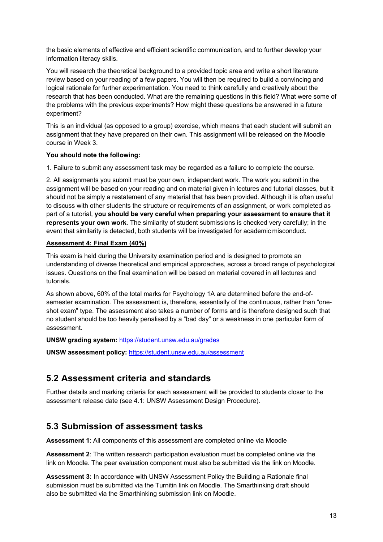the basic elements of effective and efficient scientific communication, and to further develop your information literacy skills.

You will research the theoretical background to a provided topic area and write a short literature review based on your reading of a few papers. You will then be required to build a convincing and logical rationale for further experimentation. You need to think carefully and creatively about the research that has been conducted. What are the remaining questions in this field? What were some of the problems with the previous experiments? How might these questions be answered in a future experiment?

This is an individual (as opposed to a group) exercise, which means that each student will submit an assignment that they have prepared on their own. This assignment will be released on the Moodle course in Week 3.

#### **You should note the following:**

1. Failure to submit any assessment task may be regarded as a failure to complete the course.

2. All assignments you submit must be your own, independent work. The work you submit in the assignment will be based on your reading and on material given in lectures and tutorial classes, but it should not be simply a restatement of any material that has been provided. Although it is often useful to discuss with other students the structure or requirements of an assignment, or work completed as part of a tutorial, **you should be very careful when preparing your assessment to ensure that it represents your own work**. The similarity of student submissions is checked very carefully; in the event that similarity is detected, both students will be investigated for academic misconduct.

#### **Assessment 4: Final Exam (40%)**

This exam is held during the University examination period and is designed to promote an understanding of diverse theoretical and empirical approaches, across a broad range of psychological issues. Questions on the final examination will be based on material covered in all lectures and tutorials.

As shown above, 60% of the total marks for Psychology 1A are determined before the end-ofsemester examination. The assessment is, therefore, essentially of the continuous, rather than "oneshot exam" type. The assessment also takes a number of forms and is therefore designed such that no student should be too heavily penalised by a "bad day" or a weakness in one particular form of assessment.

#### **UNSW grading system:** https://student.unsw.edu.au/grades

**UNSW assessment policy:** https://student.unsw.edu.au/assessment

### **5.2 Assessment criteria and standards**

Further details and marking criteria for each assessment will be provided to students closer to the assessment release date (see 4.1: UNSW Assessment Design Procedure).

### **5.3 Submission of assessment tasks**

**Assessment 1**: All components of this assessment are completed online via Moodle

**Assessment 2**: The written research participation evaluation must be completed online via the link on Moodle. The peer evaluation component must also be submitted via the link on Moodle.

**Assessment 3:** In accordance with UNSW Assessment Policy the Building a Rationale final submission must be submitted via the Turnitin link on Moodle. The Smarthinking draft should also be submitted via the Smarthinking submission link on Moodle.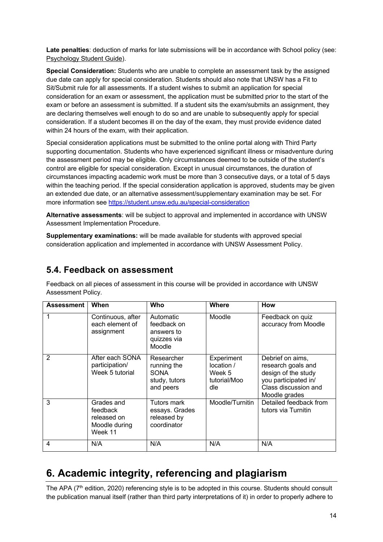**Late penalties**: deduction of marks for late submissions will be in accordance with School policy (see: Psychology Student Guide).

**Special Consideration:** Students who are unable to complete an assessment task by the assigned due date can apply for special consideration. Students should also note that UNSW has a Fit to Sit/Submit rule for all assessments. If a student wishes to submit an application for special consideration for an exam or assessment, the application must be submitted prior to the start of the exam or before an assessment is submitted. If a student sits the exam/submits an assignment, they are declaring themselves well enough to do so and are unable to subsequently apply for special consideration. If a student becomes ill on the day of the exam, they must provide evidence dated within 24 hours of the exam, with their application.

Special consideration applications must be submitted to the online portal along with Third Party supporting documentation. Students who have experienced significant illness or misadventure during the assessment period may be eligible. Only circumstances deemed to be outside of the student's control are eligible for special consideration. Except in unusual circumstances, the duration of circumstances impacting academic work must be more than 3 consecutive days, or a total of 5 days within the teaching period. If the special consideration application is approved, students may be given an extended due date, or an alternative assessment/supplementary examination may be set. For more information see https://student.unsw.edu.au/special-consideration

**Alternative assessments**: will be subject to approval and implemented in accordance with UNSW Assessment Implementation Procedure.

**Supplementary examinations:** will be made available for students with approved special consideration application and implemented in accordance with UNSW Assessment Policy.

### **5.4. Feedback on assessment**

Feedback on all pieces of assessment in this course will be provided in accordance with UNSW Assessment Policy.

| <b>Assessment</b> | When                                                              | Who                                                                    | <b>Where</b>                                              | <b>How</b>                                                                                                                     |
|-------------------|-------------------------------------------------------------------|------------------------------------------------------------------------|-----------------------------------------------------------|--------------------------------------------------------------------------------------------------------------------------------|
|                   | Continuous, after<br>each element of<br>assignment                | Automatic<br>feedback on<br>answers to<br>quizzes via<br>Moodle        | Moodle                                                    | Feedback on quiz<br>accuracy from Moodle                                                                                       |
| 2                 | After each SONA<br>participation/<br>Week 5 tutorial              | Researcher<br>running the<br><b>SONA</b><br>study, tutors<br>and peers | Experiment<br>location /<br>Week 5<br>tutorial/Moo<br>dle | Debrief on aims,<br>research goals and<br>design of the study<br>you participated in/<br>Class discussion and<br>Moodle grades |
| 3                 | Grades and<br>feedback<br>released on<br>Moodle during<br>Week 11 | Tutors mark<br>essays. Grades<br>released by<br>coordinator            | Moodle/Turnitin                                           | Detailed feedback from<br>tutors via Turnitin                                                                                  |
| 4                 | N/A                                                               | N/A                                                                    | N/A                                                       | N/A                                                                                                                            |

# **6. Academic integrity, referencing and plagiarism**

The APA (7<sup>th</sup> edition, 2020) referencing style is to be adopted in this course. Students should consult the publication manual itself (rather than third party interpretations of it) in order to properly adhere to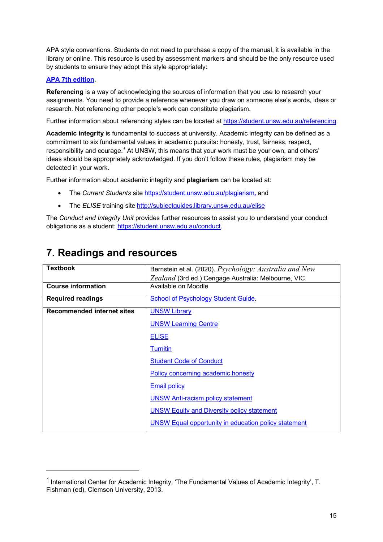APA style conventions. Students do not need to purchase a copy of the manual, it is available in the library or online. This resource is used by assessment markers and should be the only resource used by students to ensure they adopt this style appropriately:

#### **APA 7th edition.**

**Referencing** is a way of acknowledging the sources of information that you use to research your assignments. You need to provide a reference whenever you draw on someone else's words, ideas or research. Not referencing other people's work can constitute plagiarism.

Further information about referencing styles can be located at https://student.unsw.edu.au/referencing

**Academic integrity** is fundamental to success at university. Academic integrity can be defined as a commitment to six fundamental values in academic pursuits**:** honesty, trust, fairness, respect, responsibility and courage.*<sup>1</sup>* At UNSW, this means that your work must be your own, and others' ideas should be appropriately acknowledged. If you don't follow these rules, plagiarism may be detected in your work.

Further information about academic integrity and **plagiarism** can be located at:

- The *Current Students* site https://student.unsw.edu.au/plagiarism*,* and
- The *ELISE* training site http://subjectguides.library.unsw.edu.au/elise

The *Conduct and Integrity Unit* provides further resources to assist you to understand your conduct obligations as a student: https://student.unsw.edu.au/conduct.

| <b>Textbook</b>                   | Bernstein et al. (2020). Psychology: Australia and New      |
|-----------------------------------|-------------------------------------------------------------|
|                                   | Zealand (3rd ed.) Cengage Australia: Melbourne, VIC.        |
| <b>Course information</b>         | Available on Moodle                                         |
| <b>Required readings</b>          | School of Psychology Student Guide.                         |
| <b>Recommended internet sites</b> | <b>UNSW Library</b>                                         |
|                                   | <b>UNSW Learning Centre</b>                                 |
|                                   | <b>ELISE</b>                                                |
|                                   | <b>Turnitin</b>                                             |
|                                   | <b>Student Code of Conduct</b>                              |
|                                   | Policy concerning academic honesty                          |
|                                   | <b>Email policy</b>                                         |
|                                   | <b>UNSW Anti-racism policy statement</b>                    |
|                                   | <b>UNSW Equity and Diversity policy statement</b>           |
|                                   | <b>UNSW Equal opportunity in education policy statement</b> |

### **7. Readings and resources**

<sup>&</sup>lt;sup>1</sup> International Center for Academic Integrity, 'The Fundamental Values of Academic Integrity', T. Fishman (ed), Clemson University, 2013.